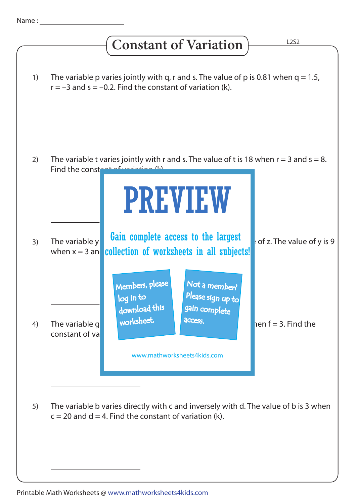## **Constant of Variation**

| 1) | The variable p varies jointly with q, r and s. The value of p is 0.81 when $q = 1.5$ ,<br>$r = -3$ and $s = -0.2$ . Find the constant of variation (k).                                                                  |
|----|--------------------------------------------------------------------------------------------------------------------------------------------------------------------------------------------------------------------------|
| 2) | The variable t varies jointly with r and s. The value of t is 18 when $r = 3$ and $s = 8$ .<br>Find the const<br><b>PREVIEW</b>                                                                                          |
| 3) | Gain complete access to the largest<br>of z. The value of y is 9<br>The variable y<br>collection of worksheets in all subjects!<br>when $x = 3$ an                                                                       |
| 4) | Members, please<br>Not a member?<br>Please sign up to<br>log in to<br>download this<br>gain complete<br>worksheet.<br>access.<br>The variable g<br>$penf = 3.$ Find the<br>constant of va<br>www.mathworksheets4kids.com |
| 5) | The variable b varies directly with c and inversely with d. The value of b is 3 when<br>$c = 20$ and $d = 4$ . Find the constant of variation (k).                                                                       |